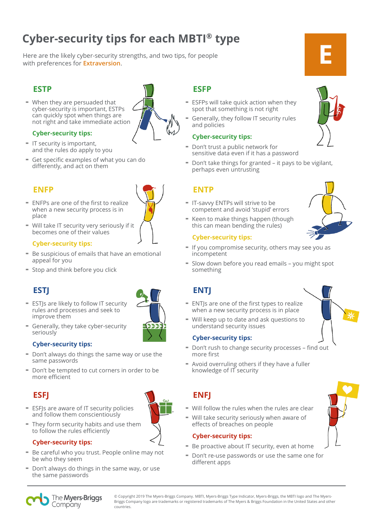## © Copyright 2019 The Myers-Briggs Company. MBTI, Myers-Briggs Type Indicator, Myers-Briggs, the MBTI logo and The Myers-Briggs Company logo are trademarks or registered trademarks of The Myers & Briggs Foundation in the United States and other countries.

# **Cyber-security tips for each MBTI® type**

Here are the likely cyber-security strengths, and two tips, for people with preferences for **Extraversion**.

- When they are persuaded that cyber-security is important, ESTPs can quickly spot when things are not right and take immediate action

## **Cyber-security tips:**

- IT security is important, and the rules do apply to you
- Get specific examples of what you can do differently, and act on them

- ENFPs are one of the first to realize when a new security process is in place
- Will take IT security very seriously if it becomes one of their values

## **Cyber-security tips:**

- Be suspicious of emails that have an emotional appeal for you
- Stop and think before you click

- ESTJs are likely to follow IT security rules and processes and seek to improve them
- Generally, they take cyber-security seriously

## **Cyber-security tips:**

- Don't always do things the same way or use the same passwords
- Don't be tempted to cut corners in order to be more efficient

- ESFJs are aware of IT security policies and follow them conscientiously
- They form security habits and use them to follow the rules efficiently

The **Myers-Briggs** Company

## **Cyber-security tips:**

- Be careful who you trust. People online may not be who they seem
- Don't always do things in the same way, or use the same passwords

# **ESTP ESFP**

- ESFPs will take quick action when they spot that something is not right
- Generally, they follow IT security rules and policies

## **Cyber-security tips:**

- Don't trust a public network for sensitive data even if it has a password
- Don't take things for granted it pays to be vigilant, perhaps even untrusting

# **ENFP ENTP**

- IT-savvy ENTPs will strive to be competent and avoid 'stupid' errors
- Keen to make things happen (though this can mean bending the rules)

## **Cyber-security tips:**

- If you compromise security, others may see you as incompetent
- Slow down before you read emails you might spot something

- ENTJs are one of the first types to realize when a new security process is in place
- Will keep up to date and ask questions to understand security issues

## **Cyber-security tips:**

- Don't rush to change security processes find out more first
- Avoid overruling others if they have a fuller knowledge of IT security

- Will follow the rules when the rules are clear
- Will take security seriously when aware of effects of breaches on people

## **Cyber-security tips:**

- Be proactive about IT security, even at home
- Don't re-use passwords or use the same one for different apps